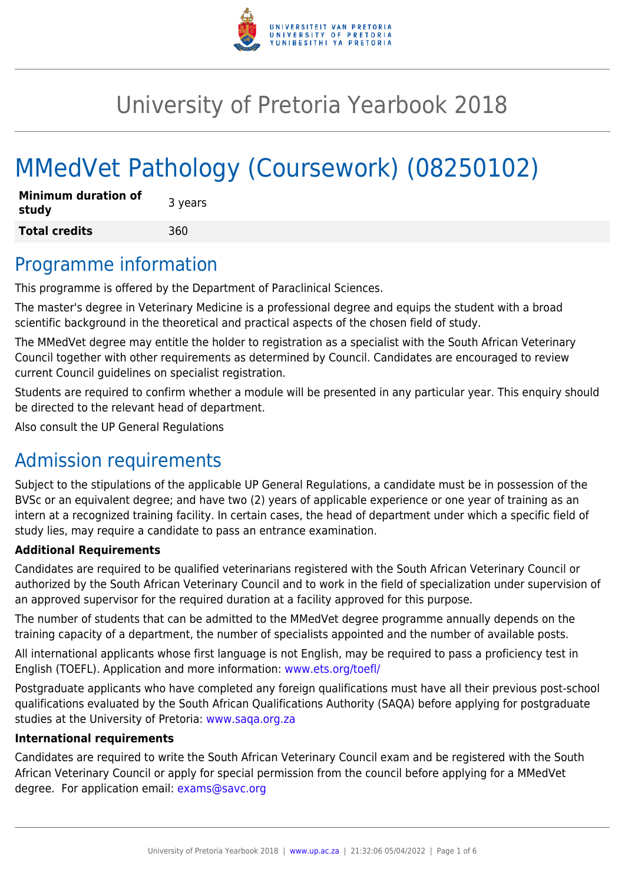

# University of Pretoria Yearbook 2018

# MMedVet Pathology (Coursework) (08250102)

| <b>Minimum duration of</b><br>study | 3 years |
|-------------------------------------|---------|
| <b>Total credits</b>                | 360     |

### Programme information

This programme is offered by the Department of Paraclinical Sciences.

The master's degree in Veterinary Medicine is a professional degree and equips the student with a broad scientific background in the theoretical and practical aspects of the chosen field of study.

The MMedVet degree may entitle the holder to registration as a specialist with the South African Veterinary Council together with other requirements as determined by Council. Candidates are encouraged to review current Council guidelines on specialist registration.

Students are required to confirm whether a module will be presented in any particular year. This enquiry should be directed to the relevant head of department.

Also consult the UP General Regulations

# Admission requirements

Subject to the stipulations of the applicable UP General Regulations, a candidate must be in possession of the BVSc or an equivalent degree; and have two (2) years of applicable experience or one year of training as an intern at a recognized training facility. In certain cases, the head of department under which a specific field of study lies, may require a candidate to pass an entrance examination.

#### **Additional Requirements**

Candidates are required to be qualified veterinarians registered with the South African Veterinary Council or authorized by the South African Veterinary Council and to work in the field of specialization under supervision of an approved supervisor for the required duration at a facility approved for this purpose.

The number of students that can be admitted to the MMedVet degree programme annually depends on the training capacity of a department, the number of specialists appointed and the number of available posts.

All international applicants whose first language is not English, may be required to pass a proficiency test in English (TOEFL). Application and more information: [www.ets.org/toefl/](http://www.ets.org/toefl/)

Postgraduate applicants who have completed any foreign qualifications must have all their previous post-school qualifications evaluated by the South African Qualifications Authority (SAQA) before applying for postgraduate studies at the University of Pretoria: [www.saqa.org.za](http://www.saqa.org.za)

#### **International requirements**

Candidates are required to write the South African Veterinary Council exam and be registered with the South African Veterinary Council or apply for special permission from the council before applying for a MMedVet degree. For application email: [exams@savc.org](mailto:exams@savc.org)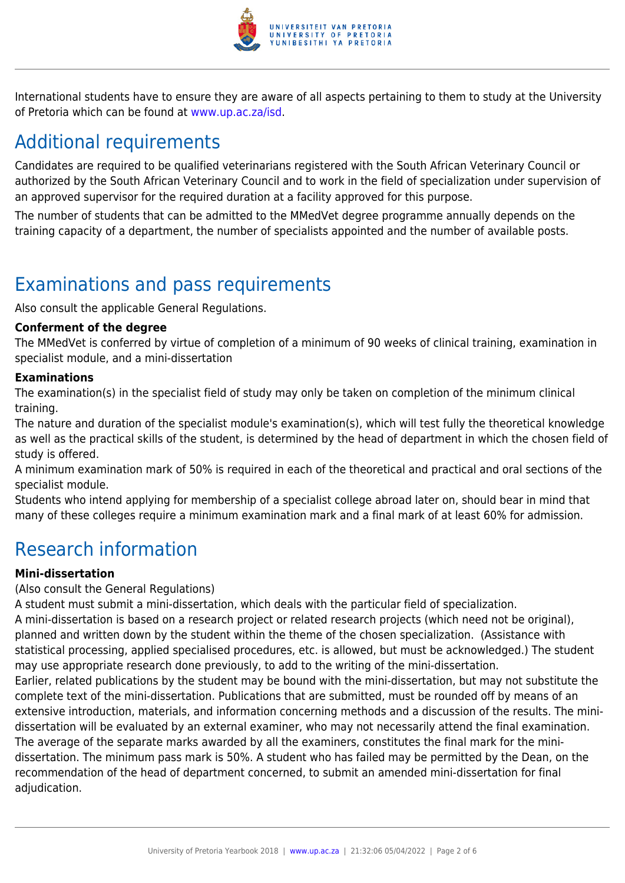

International students have to ensure they are aware of all aspects pertaining to them to study at the University of Pretoria which can be found at [www.up.ac.za/isd](http://www.up.ac.za/isd).

# Additional requirements

Candidates are required to be qualified veterinarians registered with the South African Veterinary Council or authorized by the South African Veterinary Council and to work in the field of specialization under supervision of an approved supervisor for the required duration at a facility approved for this purpose.

The number of students that can be admitted to the MMedVet degree programme annually depends on the training capacity of a department, the number of specialists appointed and the number of available posts.

## Examinations and pass requirements

Also consult the applicable General Regulations.

#### **Conferment of the degree**

The MMedVet is conferred by virtue of completion of a minimum of 90 weeks of clinical training, examination in specialist module, and a mini-dissertation

#### **Examinations**

The examination(s) in the specialist field of study may only be taken on completion of the minimum clinical training.

The nature and duration of the specialist module's examination(s), which will test fully the theoretical knowledge as well as the practical skills of the student, is determined by the head of department in which the chosen field of study is offered.

A minimum examination mark of 50% is required in each of the theoretical and practical and oral sections of the specialist module.

Students who intend applying for membership of a specialist college abroad later on, should bear in mind that many of these colleges require a minimum examination mark and a final mark of at least 60% for admission.

### Research information

#### **Mini-dissertation**

#### (Also consult the General Regulations)

A student must submit a mini-dissertation, which deals with the particular field of specialization. A mini-dissertation is based on a research project or related research projects (which need not be original), planned and written down by the student within the theme of the chosen specialization. (Assistance with statistical processing, applied specialised procedures, etc. is allowed, but must be acknowledged.) The student may use appropriate research done previously, to add to the writing of the mini-dissertation. Earlier, related publications by the student may be bound with the mini-dissertation, but may not substitute the complete text of the mini-dissertation. Publications that are submitted, must be rounded off by means of an extensive introduction, materials, and information concerning methods and a discussion of the results. The minidissertation will be evaluated by an external examiner, who may not necessarily attend the final examination. The average of the separate marks awarded by all the examiners, constitutes the final mark for the mini-

dissertation. The minimum pass mark is 50%. A student who has failed may be permitted by the Dean, on the recommendation of the head of department concerned, to submit an amended mini-dissertation for final adjudication.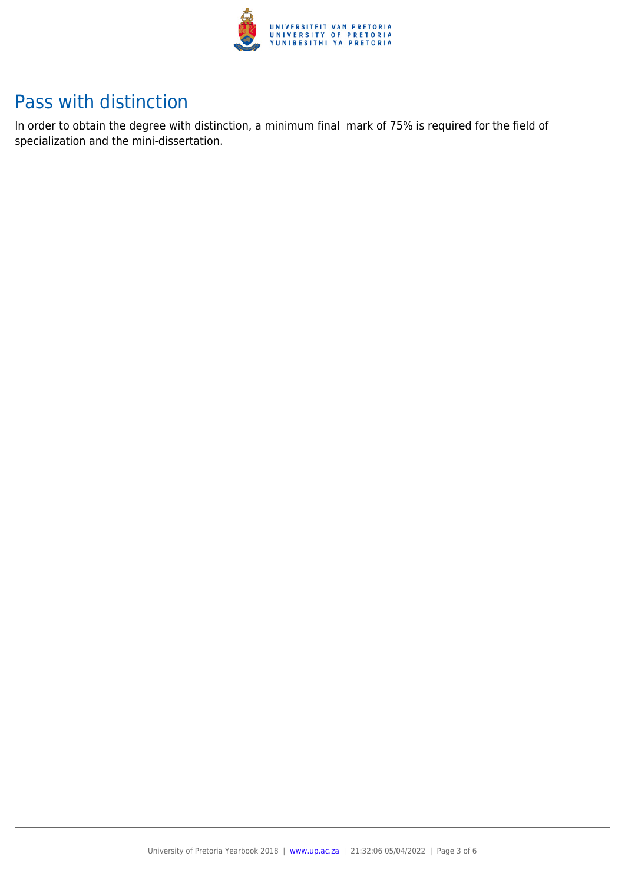

### Pass with distinction

In order to obtain the degree with distinction, a minimum final mark of 75% is required for the field of specialization and the mini-dissertation.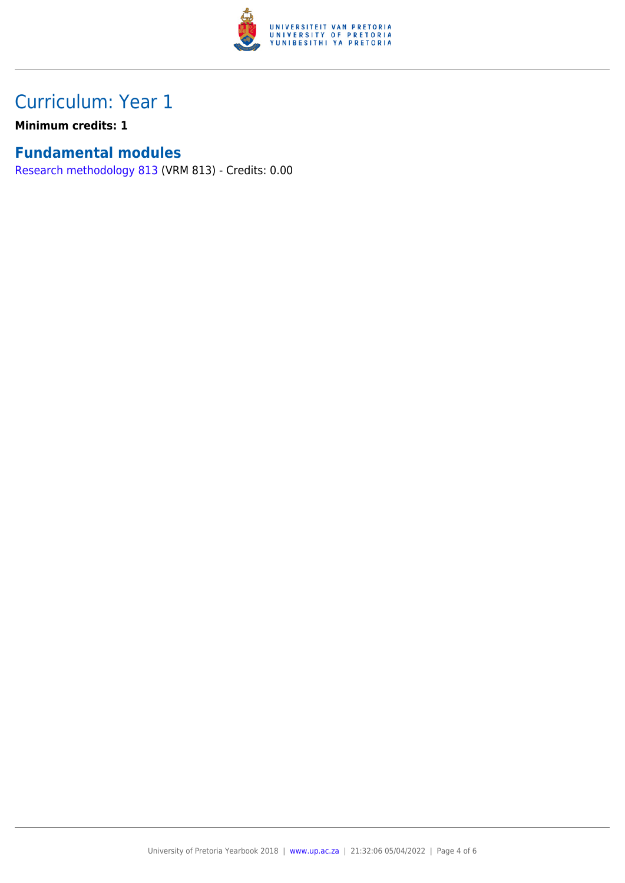

## Curriculum: Year 1

**Minimum credits: 1**

#### **Fundamental modules**

[Research methodology 813](https://www.up.ac.za/parents/yearbooks/2018/modules/view/VRM 813) (VRM 813) - Credits: 0.00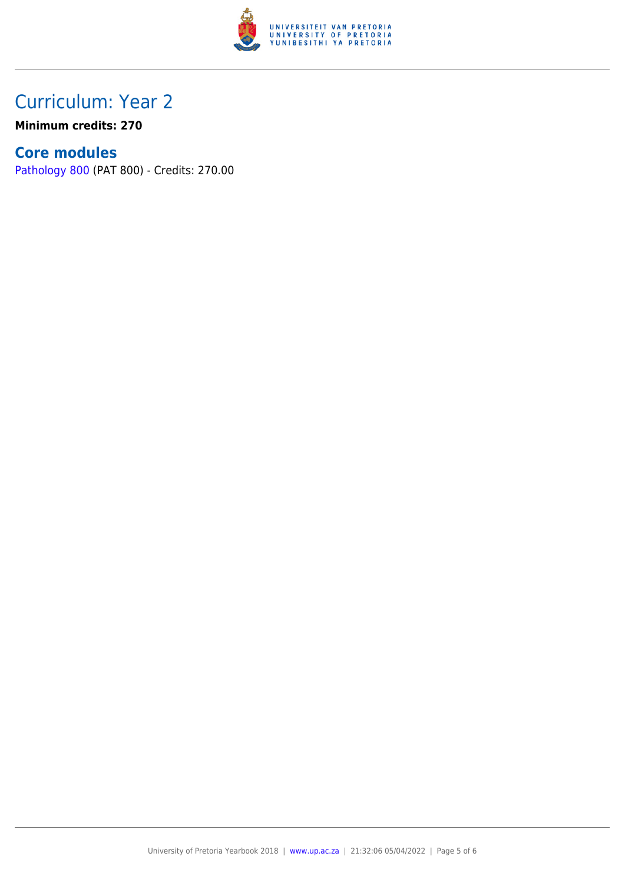

### Curriculum: Year 2

**Minimum credits: 270**

#### **Core modules**

[Pathology 800](https://www.up.ac.za/parents/yearbooks/2018/modules/view/PAT 800) (PAT 800) - Credits: 270.00